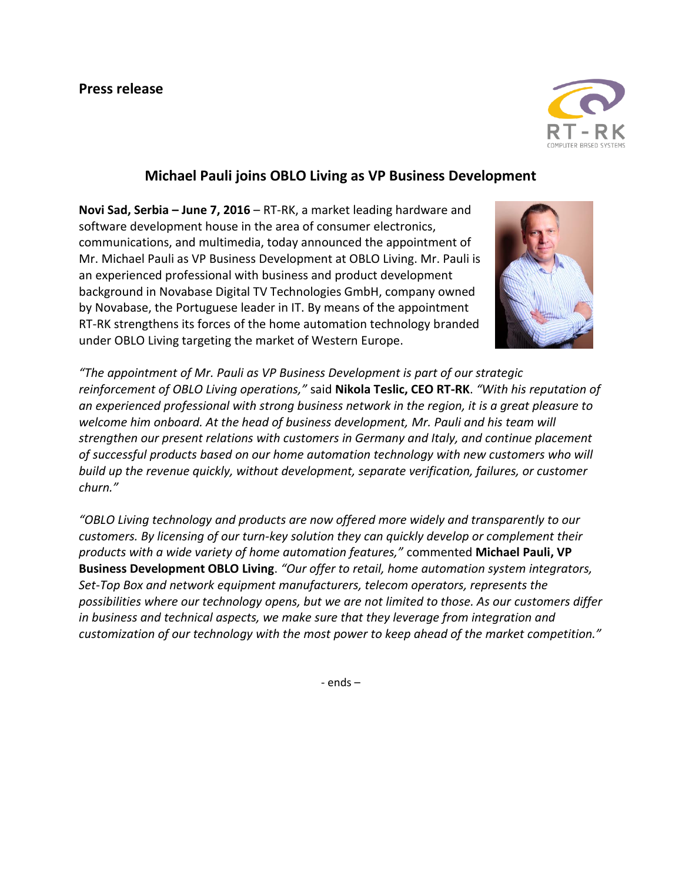

## **Michael Pauli joins OBLO Living as VP Business Development**

**Novi Sad, Serbia – June 7, 2016** – RT-RK, a market leading hardware and software development house in the area of consumer electronics, communications, and multimedia, today announced the appointment of Mr. Michael Pauli as VP Business Development at OBLO Living. Mr. Pauli is an experienced professional with business and product development background in Novabase Digital TV Technologies GmbH, company owned by Novabase, the Portuguese leader in IT. By means of the appointment RT-RK strengthens its forces of the home automation technology branded under OBLO Living targeting the market of Western Europe.



*"The appointment of Mr. Pauli as VP Business Development is part of our strategic reinforcement of OBLO Living operations,"* said **Nikola Teslic, CEO RT-RK**. *"With his reputation of an experienced professional with strong business network in the region, it is a great pleasure to welcome him onboard. At the head of business development, Mr. Pauli and his team will strengthen our present relations with customers in Germany and Italy, and continue placement of successful products based on our home automation technology with new customers who will build up the revenue quickly, without development, separate verification, failures, or customer churn."*

*"OBLO Living technology and products are now offered more widely and transparently to our customers. By licensing of our turn-key solution they can quickly develop or complement their products with a wide variety of home automation features,"* commented **Michael Pauli, VP Business Development OBLO Living**. *"Our offer to retail, home automation system integrators, Set-Top Box and network equipment manufacturers, telecom operators, represents the possibilities where our technology opens, but we are not limited to those. As our customers differ in business and technical aspects, we make sure that they leverage from integration and customization of our technology with the most power to keep ahead of the market competition."*

- ends –